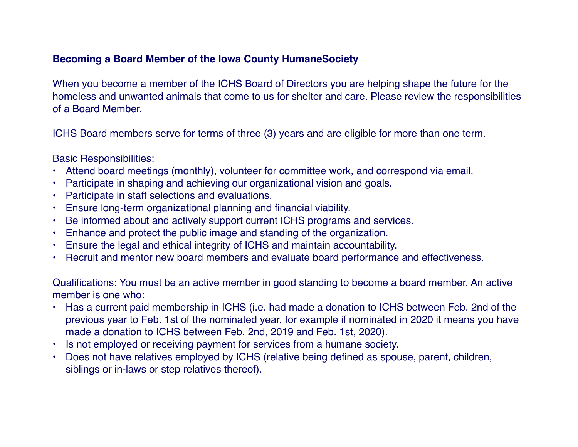## **Becoming a Board Member of the Iowa County HumaneSociety**

When you become a member of the ICHS Board of Directors you are helping shape the future for the homeless and unwanted animals that come to us for shelter and care. Please review the responsibilities of a Board Member.

ICHS Board members serve for terms of three (3) years and are eligible for more than one term.

Basic Responsibilities:

- Attend board meetings (monthly), volunteer for committee work, and correspond via email.
- Participate in shaping and achieving our organizational vision and goals.
- Participate in staff selections and evaluations.
- Ensure long-term organizational planning and financial viability.
- Be informed about and actively support current ICHS programs and services.
- Enhance and protect the public image and standing of the organization.
- Ensure the legal and ethical integrity of ICHS and maintain accountability.
- Recruit and mentor new board members and evaluate board performance and effectiveness.

Qualifications: You must be an active member in good standing to become a board member. An active member is one who:

- Has a current paid membership in ICHS (i.e. had made a donation to ICHS between Feb. 2nd of the previous year to Feb. 1st of the nominated year, for example if nominated in 2020 it means you have made a donation to ICHS between Feb. 2nd, 2019 and Feb. 1st, 2020).
- Is not employed or receiving payment for services from a humane society.
- Does not have relatives employed by ICHS (relative being defined as spouse, parent, children, siblings or in-laws or step relatives thereof).